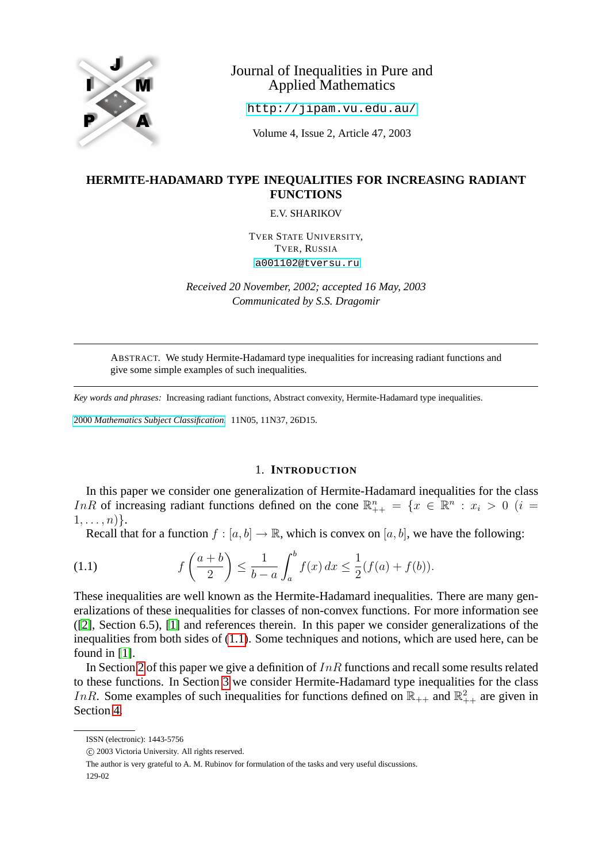

# Journal of Inequalities in Pure and Applied Mathematics

<http://jipam.vu.edu.au/>

Volume 4, Issue 2, Article 47, 2003

## **HERMITE-HADAMARD TYPE INEQUALITIES FOR INCREASING RADIANT FUNCTIONS**

E.V. SHARIKOV

TVER STATE UNIVERSITY, TVER, RUSSIA [a001102@tversu.ru](mailto:a001102@tversu.ru)

*Received 20 November, 2002; accepted 16 May, 2003 Communicated by S.S. Dragomir*

ABSTRACT. We study Hermite-Hadamard type inequalities for increasing radiant functions and give some simple examples of such inequalities.

*Key words and phrases:* Increasing radiant functions, Abstract convexity, Hermite-Hadamard type inequalities.

2000 *[Mathematics Subject Classification.](http://www.ams.org/msc/)* 11N05, 11N37, 26D15.

### <span id="page-0-0"></span>1. **INTRODUCTION**

In this paper we consider one generalization of Hermite-Hadamard inequalities for the class InR of increasing radiant functions defined on the cone  $\mathbb{R}^n_{++} = \{x \in \mathbb{R}^n : x_i > 0 \ (i =$  $1, \ldots, n)$ .

Recall that for a function  $f : [a, b] \to \mathbb{R}$ , which is convex on  $[a, b]$ , we have the following:

(1.1) 
$$
f\left(\frac{a+b}{2}\right) \le \frac{1}{b-a} \int_a^b f(x) \, dx \le \frac{1}{2} (f(a) + f(b)).
$$

These inequalities are well known as the Hermite-Hadamard inequalities. There are many generalizations of these inequalities for classes of non-convex functions. For more information see ([\[2\]](#page-12-0), Section 6.5), [\[1\]](#page-12-1) and references therein. In this paper we consider generalizations of the inequalities from both sides of [\(1.1\)](#page-0-0). Some techniques and notions, which are used here, can be found in [\[1\]](#page-12-1).

In Section [2](#page-1-0) of this paper we give a definition of  $InR$  functions and recall some results related to these functions. In Section [3](#page-2-0) we consider Hermite-Hadamard type inequalities for the class InR. Some examples of such inequalities for functions defined on  $\mathbb{R}_{++}$  and  $\mathbb{R}_{++}^2$  are given in Section [4.](#page-6-0)

ISSN (electronic): 1443-5756

c 2003 Victoria University. All rights reserved.

The author is very grateful to A. M. Rubinov for formulation of the tasks and very useful discussions.

<sup>129-02</sup>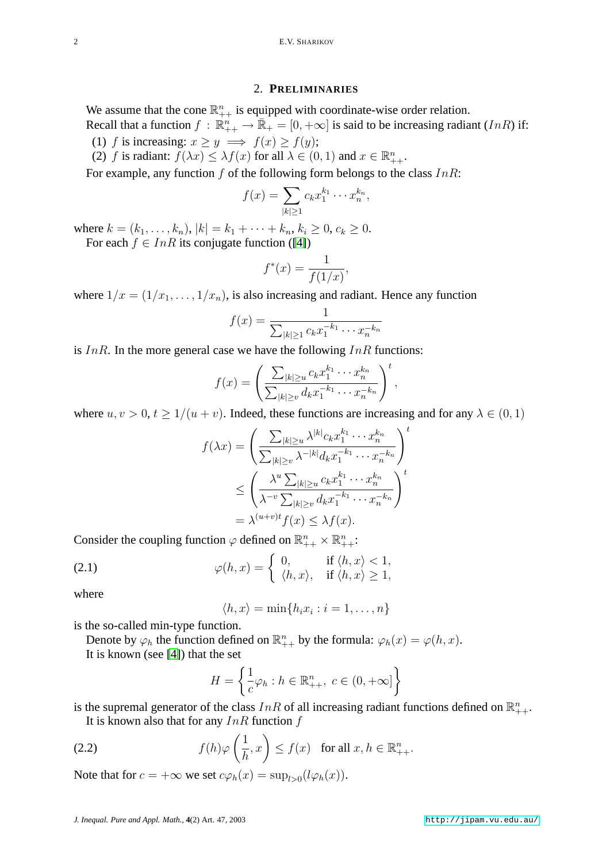#### 2. **PRELIMINARIES**

<span id="page-1-0"></span>We assume that the cone  $\mathbb{R}_{++}^n$  is equipped with coordinate-wise order relation. Recall that a function  $f : \mathbb{R}_{++}^n \to \mathbb{R}_+ = [0, +\infty]$  is said to be increasing radiant  $(InR)$  if: (1) f is increasing:  $x > y \implies f(x) > f(y)$ ;

(2) f is radiant:  $f(\lambda x) \leq \lambda f(x)$  for all  $\lambda \in (0,1)$  and  $x \in \mathbb{R}_{++}^n$ .

For example, any function  $f$  of the following form belongs to the class  $InR$ :

$$
f(x) = \sum_{|k| \ge 1} c_k x_1^{k_1} \cdots x_n^{k_n},
$$

where  $k = (k_1, \ldots, k_n), |k| = k_1 + \cdots + k_n, k_i \geq 0, c_k \geq 0.$ For each  $f \in InR$  its conjugate function ([\[4\]](#page-12-2))

$$
f^*(x) = \frac{1}{f(1/x)}
$$

where  $1/x = (1/x_1, \ldots, 1/x_n)$ , is also increasing and radiant. Hence any function

$$
f(x) = \frac{1}{\sum_{|k| \ge 1} c_k x_1^{-k_1} \cdots x_n^{-k_n}}
$$

,

is  $InR$ . In the more general case we have the following  $InR$  functions:

$$
f(x) = \left(\frac{\sum_{|k|\geq u} c_k x_1^{k_1} \cdots x_n^{k_n}}{\sum_{|k|\geq v} d_k x_1^{-k_1} \cdots x_n^{-k_n}}\right)^t,
$$

where  $u, v > 0, t \ge 1/(u + v)$ . Indeed, these functions are increasing and for any  $\lambda \in (0, 1)$ 

$$
f(\lambda x) = \left(\frac{\sum_{|k|\ge u} \lambda^{|k|} c_k x_1^{k_1} \cdots x_n^{k_n}}{\sum_{|k|\ge v} \lambda^{-|k|} d_k x_1^{-k_1} \cdots x_n^{-k_n}}\right)^t
$$
  

$$
\le \left(\frac{\lambda^u \sum_{|k|\ge u} c_k x_1^{k_1} \cdots x_n^{k_n}}{\lambda^{-v} \sum_{|k|\ge v} d_k x_1^{-k_1} \cdots x_n^{-k_n}}\right)^t
$$
  

$$
= \lambda^{(u+v)t} f(x) \le \lambda f(x).
$$

Consider the coupling function  $\varphi$  defined on  $\mathbb{R}^n_{++} \times \mathbb{R}^n_{++}$ :

(2.1) 
$$
\varphi(h,x) = \begin{cases} 0, & \text{if } \langle h,x \rangle < 1, \\ \langle h,x \rangle, & \text{if } \langle h,x \rangle \ge 1, \end{cases}
$$

where

$$
\langle h, x \rangle = \min\{h_i x_i : i = 1, \dots, n\}
$$

is the so-called min-type function.

Denote by  $\varphi_h$  the function defined on  $\mathbb{R}_{++}^n$  by the formula:  $\varphi_h(x) = \varphi(h, x)$ . It is known (see [\[4\]](#page-12-2)) that the set

<span id="page-1-1"></span>
$$
H = \left\{ \frac{1}{c} \varphi_h : h \in \mathbb{R}_{++}^n, \ c \in (0, +\infty] \right\}
$$

is the supremal generator of the class  $InR$  of all increasing radiant functions defined on  $\mathbb{R}^n_{++}$ .

It is known also that for any  $InR$  function  $f$ 

(2.2) 
$$
f(h)\varphi\left(\frac{1}{h},x\right) \le f(x) \text{ for all } x, h \in \mathbb{R}_{++}^n.
$$

Note that for  $c = +\infty$  we set  $c\varphi_h(x) = \sup_{l>0} (l\varphi_h(x))$ .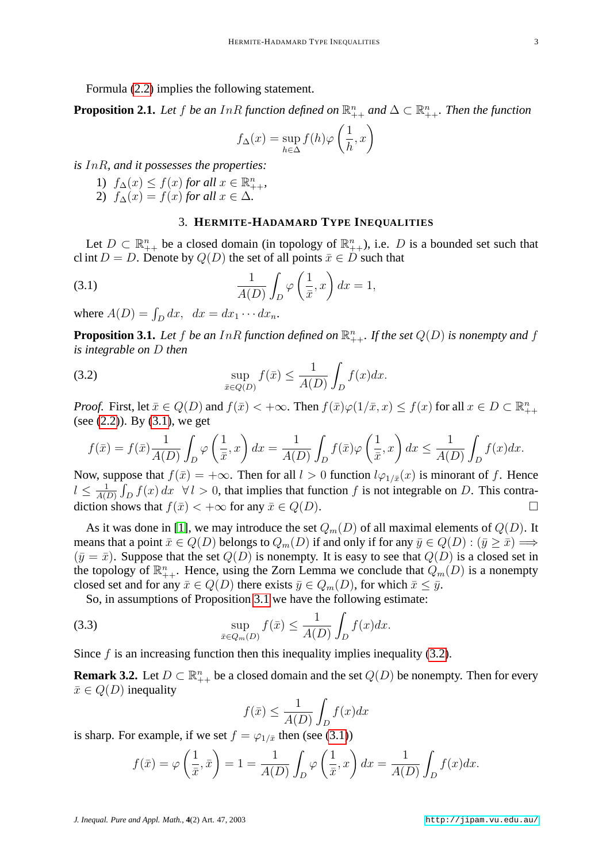Formula [\(2.2\)](#page-1-1) implies the following statement.

<span id="page-2-4"></span>**Proposition 2.1.** Let f be an InR function defined on  $\mathbb{R}_{++}^n$  and  $\Delta \subset \mathbb{R}_{++}^n$ . Then the function

<span id="page-2-1"></span>
$$
f_{\Delta}(x) = \sup_{h \in \Delta} f(h)\varphi\left(\frac{1}{h}, x\right)
$$

*is* InR*, and it possesses the properties:*

- 1)  $f_{\Delta}(x) \leq f(x)$  *for all*  $x \in \mathbb{R}_{++}^n$ ,
- 2)  $f_{\Delta}(x) = f(x)$  *for all*  $x \in \Delta$ *.*

### 3. **HERMITE-HADAMARD TYPE INEQUALITIES**

<span id="page-2-0"></span>Let  $D \subset \mathbb{R}_{++}^n$  be a closed domain (in topology of  $\mathbb{R}_{++}^n$ ), i.e. D is a bounded set such that cl int  $D = D$ . Denote by  $Q(D)$  the set of all points  $\bar{x} \in D$  such that

(3.1) 
$$
\frac{1}{A(D)} \int_{D} \varphi \left(\frac{1}{\bar{x}}, x\right) dx = 1,
$$

where  $A(D) = \int_D dx$ ,  $dx = dx_1 \cdots dx_n$ .

<span id="page-2-3"></span><span id="page-2-2"></span>**Proposition 3.1.** Let  $f$  be an  $InR$  function defined on  $\mathbb{R}_{++}^n$ . If the set  $Q(D)$  is nonempty and  $f$ *is integrable on* D *then*

(3.2) 
$$
\sup_{\bar{x}\in Q(D)} f(\bar{x}) \leq \frac{1}{A(D)} \int_D f(x) dx.
$$

*Proof.* First, let  $\bar{x} \in Q(D)$  and  $f(\bar{x}) < +\infty$ . Then  $f(\bar{x})\varphi(1/\bar{x}, x) \le f(x)$  for all  $x \in D \subset \mathbb{R}_{++}^n$ (see [\(2.2\)](#page-1-1)). By [\(3.1\)](#page-2-1), we get

$$
f(\bar{x}) = f(\bar{x}) \frac{1}{A(D)} \int_D \varphi \left(\frac{1}{\bar{x}}, x\right) dx = \frac{1}{A(D)} \int_D f(\bar{x}) \varphi \left(\frac{1}{\bar{x}}, x\right) dx \le \frac{1}{A(D)} \int_D f(x) dx.
$$

Now, suppose that  $f(\bar{x}) = +\infty$ . Then for all  $l > 0$  function  $l\varphi_{1/\bar{x}}(x)$  is minorant of f. Hence  $l \leq \frac{1}{40}$  $\frac{1}{A(D)} \int_D f(x) dx \quad \forall l > 0$ , that implies that function f is not integrable on D. This contradiction shows that  $f(\bar{x}) < +\infty$  for any  $\bar{x} \in Q(D)$ .

As it was done in [\[1\]](#page-12-1), we may introduce the set  $Q_m(D)$  of all maximal elements of  $Q(D)$ . It means that a point  $\bar{x} \in Q(D)$  belongs to  $Q_m(D)$  if and only if for any  $\bar{y} \in Q(D) : (\bar{y} \ge \bar{x}) \Longrightarrow$  $(\bar{y} = \bar{x})$ . Suppose that the set  $Q(D)$  is nonempty. It is easy to see that  $Q(D)$  is a closed set in the topology of  $\mathbb{R}_{++}^n$ . Hence, using the Zorn Lemma we conclude that  $Q_m(D)$  is a nonempty closed set and for any  $\bar{x} \in Q(D)$  there exists  $\bar{y} \in Q_m(D)$ , for which  $\bar{x} \leq \bar{y}$ .

So, in assumptions of Proposition [3.1](#page-2-2) we have the following estimate:

(3.3) 
$$
\sup_{\bar{x}\in Q_m(D)} f(\bar{x}) \leq \frac{1}{A(D)} \int_D f(x) dx.
$$

Since  $f$  is an increasing function then this inequality implies inequality [\(3.2\)](#page-2-3).

<span id="page-2-6"></span>**Remark 3.2.** Let  $D \subset \mathbb{R}_{++}^n$  be a closed domain and the set  $Q(D)$  be nonempty. Then for every  $\bar{x} \in Q(D)$  inequality

<span id="page-2-5"></span>
$$
f(\bar{x}) \le \frac{1}{A(D)} \int_D f(x) dx
$$

is sharp. For example, if we set  $f = \varphi_{1/\bar{x}}$  then (see [\(3.1\)](#page-2-1))

$$
f(\bar{x}) = \varphi\left(\frac{1}{\bar{x}}, \bar{x}\right) = 1 = \frac{1}{A(D)} \int_D \varphi\left(\frac{1}{\bar{x}}, x\right) dx = \frac{1}{A(D)} \int_D f(x) dx.
$$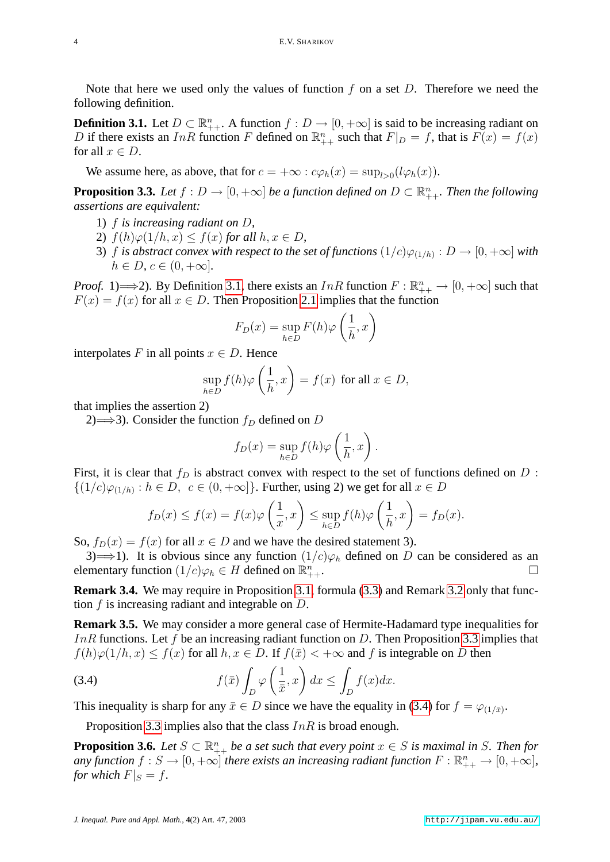Note that here we used only the values of function f on a set D. Therefore we need the following definition.

<span id="page-3-0"></span>**Definition 3.1.** Let  $D \subset \mathbb{R}_{++}^n$ . A function  $f : D \to [0, +\infty]$  is said to be increasing radiant on D if there exists an InR function F defined on  $\mathbb{R}_{++}^n$  such that  $F|_D = f$ , that is  $F(x) = f(x)$ for all  $x \in D$ .

We assume here, as above, that for  $c = +\infty : c\varphi_h(x) = \sup_{l>0} (l\varphi_h(x))$ .

<span id="page-3-1"></span>**Proposition 3.3.** Let  $f: D \to [0, +\infty]$  be a function defined on  $D \subset \mathbb{R}_{++}^n$ . Then the following *assertions are equivalent:*

- 1) f *is increasing radiant on* D*,*
- 2)  $f(h)\varphi(1/h, x) \leq f(x)$  *for all*  $h, x \in D$ *,*
- 3) f is abstract convex with respect to the set of functions  $(1/c)\varphi_{(1/h)}:D\to[0,+\infty]$  with  $h \in D, c \in (0, +\infty]$ .

*Proof.* 1)  $\implies$  2). By Definition [3.1,](#page-3-0) there exists an InR function  $F : \mathbb{R}_{++}^n \to [0, +\infty]$  such that  $F(x) = f(x)$  for all  $x \in D$ . Then Proposition [2.1](#page-2-4) implies that the function

$$
F_D(x) = \sup_{h \in D} F(h)\varphi\left(\frac{1}{h}, x\right)
$$

interpolates F in all points  $x \in D$ . Hence

$$
\sup_{h \in D} f(h)\varphi\left(\frac{1}{h}, x\right) = f(x) \text{ for all } x \in D,
$$

that implies the assertion 2)

2)  $\Longrightarrow$  3). Consider the function  $f_D$  defined on D

<span id="page-3-2"></span>
$$
f_D(x) = \sup_{h \in D} f(h) \varphi \left(\frac{1}{h}, x\right).
$$

First, it is clear that  $f_D$  is abstract convex with respect to the set of functions defined on  $D$ :  $\{(1/c)\varphi_{(1/h)} : h \in D, c \in (0, +\infty]\}.$  Further, using 2) we get for all  $x \in D$ 

$$
f_D(x) \le f(x) = f(x)\varphi\left(\frac{1}{x}, x\right) \le \sup_{h \in D} f(h)\varphi\left(\frac{1}{h}, x\right) = f_D(x).
$$

So,  $f_D(x) = f(x)$  for all  $x \in D$  and we have the desired statement 3).

3)  $\implies$ 1). It is obvious since any function  $(1/c)\varphi_h$  defined on D can be considered as an elementary function  $(1/c)\varphi_h \in H$  defined on  $\mathbb{R}^n_+$  $\overline{n}$   $+$ .

**Remark 3.4.** We may require in Proposition [3.1,](#page-2-2) formula [\(3.3\)](#page-2-5) and Remark [3.2](#page-2-6) only that function  $f$  is increasing radiant and integrable on  $D$ .

<span id="page-3-4"></span>**Remark 3.5.** We may consider a more general case of Hermite-Hadamard type inequalities for InR functions. Let f be an increasing radiant function on D. Then Proposition [3.3](#page-3-1) implies that  $f(h)\varphi(1/h, x) \le f(x)$  for all  $h, x \in D$ . If  $f(\bar{x}) < +\infty$  and f is integrable on D then

(3.4) 
$$
f(\bar{x}) \int_D \varphi\left(\frac{1}{\bar{x}}, x\right) dx \le \int_D f(x) dx.
$$

This inequality is sharp for any  $\bar{x} \in D$  since we have the equality in [\(3.4\)](#page-3-2) for  $f = \varphi_{(1/\bar{x})}$ .

Proposition [3.3](#page-3-1) implies also that the class  $InR$  is broad enough.

<span id="page-3-3"></span>**Proposition 3.6.** Let  $S \subset \mathbb{R}_{++}^n$  be a set such that every point  $x \in S$  is maximal in S. Then for *any* function  $f: S \to [0, +\infty]$  there exists an increasing radiant function  $F: \mathbb{R}^n_{++} \to [0, +\infty]$ , *for which*  $F|_S = f$ .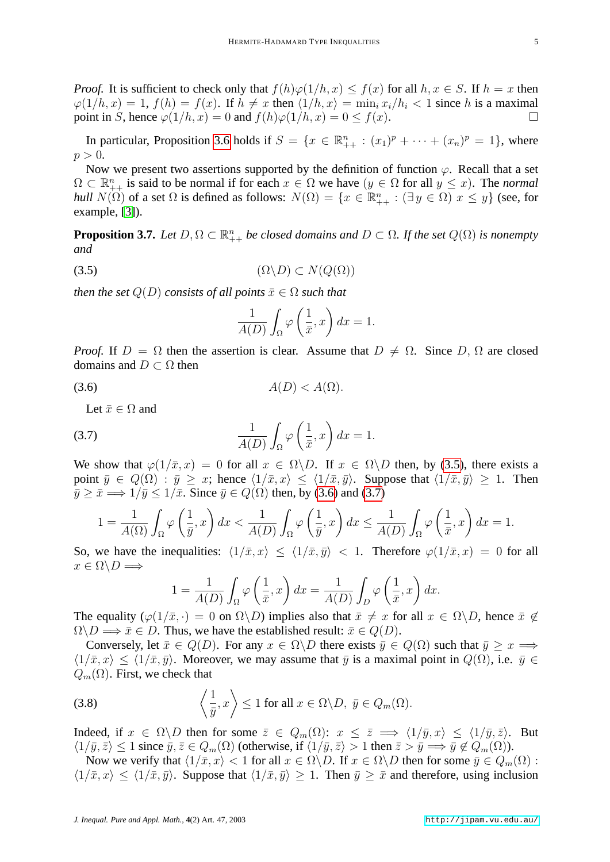*Proof.* It is sufficient to check only that  $f(h)\varphi(1/h, x) \leq f(x)$  for all  $h, x \in S$ . If  $h = x$  then  $\varphi(1/h, x) = 1$ ,  $f(h) = f(x)$ . If  $h \neq x$  then  $\langle 1/h, x \rangle = \min_i x_i/h_i < 1$  since h is a maximal point in S, hence  $\varphi(1/h, x) = 0$  and  $f(h)\varphi(1/h, x) = 0 \le f(x)$ .

In particular, Proposition [3.6](#page-3-3) holds if  $S = \{x \in \mathbb{R}^n_{++} : (x_1)^p + \cdots + (x_n)^p = 1\}$ , where  $p > 0$ .

Now we present two assertions supported by the definition of function  $\varphi$ . Recall that a set  $\Omega \subset \mathbb{R}_{++}^n$  is said to be normal if for each  $x \in \Omega$  we have  $(y \in \Omega$  for all  $y \leq x$ ). The *normal hull*  $N(\Omega)$  of a set  $\Omega$  is defined as follows:  $N(\Omega) = \{x \in \mathbb{R}^n_{++} : (\exists y \in \Omega) \ x \leq y\}$  (see, for example, [\[3\]](#page-12-3)).

<span id="page-4-4"></span><span id="page-4-0"></span>**Proposition 3.7.** Let  $D, \Omega \subset \mathbb{R}_{++}^n$  be closed domains and  $D \subset \Omega$ . If the set  $Q(\Omega)$  is nonempty *and*

$$
(3.5) \qquad \qquad (\Omega \backslash D) \subset N(Q(\Omega))
$$

*then the set*  $Q(D)$  *consists of all points*  $\bar{x} \in \Omega$  *such that* 

<span id="page-4-1"></span>
$$
\frac{1}{A(D)} \int_{\Omega} \varphi\left(\frac{1}{\bar{x}}, x\right) dx = 1.
$$

*Proof.* If  $D = \Omega$  then the assertion is clear. Assume that  $D \neq \Omega$ . Since D,  $\Omega$  are closed domains and  $D \subset \Omega$  then

$$
(3.6) \t\t A(D) < A(\Omega).
$$

<span id="page-4-2"></span>Let  $\bar{x} \in \Omega$  and

(3.7) 
$$
\frac{1}{A(D)} \int_{\Omega} \varphi \left( \frac{1}{\bar{x}}, x \right) dx = 1.
$$

We show that  $\varphi(1/\bar{x}, x) = 0$  for all  $x \in \Omega \backslash D$ . If  $x \in \Omega \backslash D$  then, by [\(3.5\)](#page-4-0), there exists a point  $\bar{y} \in Q(\Omega)$ :  $\bar{y} > x$ ; hence  $\langle 1/\bar{x}, x \rangle < \langle 1/\bar{x}, \bar{y} \rangle$ . Suppose that  $\langle 1/\bar{x}, \bar{y} \rangle > 1$ . Then  $\bar{y} \geq \bar{x} \Longrightarrow 1/\bar{y} \leq 1/\bar{x}$ . Since  $\bar{y} \in Q(\Omega)$  then, by [\(3.6\)](#page-4-1) and [\(3.7\)](#page-4-2)

$$
1 = \frac{1}{A(\Omega)} \int_{\Omega} \varphi\left(\frac{1}{\bar{y}}, x\right) dx < \frac{1}{A(D)} \int_{\Omega} \varphi\left(\frac{1}{\bar{y}}, x\right) dx \le \frac{1}{A(D)} \int_{\Omega} \varphi\left(\frac{1}{\bar{x}}, x\right) dx = 1.
$$

So, we have the inequalities:  $\langle 1/\bar{x}, x \rangle \le \langle 1/\bar{x}, \bar{y} \rangle < 1$ . Therefore  $\varphi(1/\bar{x}, x) = 0$  for all  $x \in \Omega \backslash D \Longrightarrow$ 

<span id="page-4-3"></span>
$$
1 = \frac{1}{A(D)} \int_{\Omega} \varphi\left(\frac{1}{\bar{x}}, x\right) dx = \frac{1}{A(D)} \int_{D} \varphi\left(\frac{1}{\bar{x}}, x\right) dx.
$$

The equality  $(\varphi(1/\bar{x}, \cdot) = 0 \text{ on } \Omega \setminus D)$  implies also that  $\bar{x} \neq x$  for all  $x \in \Omega \setminus D$ , hence  $\bar{x} \notin D$  $\Omega \backslash D \Longrightarrow \bar{x} \in D$ . Thus, we have the established result:  $\bar{x} \in Q(D)$ .

Conversely, let  $\bar{x} \in Q(D)$ . For any  $x \in \Omega \backslash D$  there exists  $\bar{y} \in Q(\Omega)$  such that  $\bar{y} > x \Longrightarrow$  $\langle 1/\bar{x}, x \rangle \le \langle 1/\bar{x}, \bar{y} \rangle$ . Moreover, we may assume that  $\bar{y}$  is a maximal point in  $Q(\Omega)$ , i.e.  $\bar{y} \in$  $Q_m(\Omega)$ . First, we check that

(3.8) 
$$
\left\langle \frac{1}{\bar{y}}, x \right\rangle \le 1 \text{ for all } x \in \Omega \backslash D, \ \bar{y} \in Q_m(\Omega).
$$

Indeed, if  $x \in \Omega \backslash D$  then for some  $\overline{z} \in Q_m(\Omega)$ :  $x \leq \overline{z} \implies \langle 1/\overline{y}, x \rangle \leq \langle 1/\overline{y}, \overline{z} \rangle$ . But  $\langle 1/\bar{y}, \bar{z} \rangle \le 1$  since  $\bar{y}, \bar{z} \in Q_m(\Omega)$  (otherwise, if  $\langle 1/\bar{y}, \bar{z} \rangle > 1$  then  $\bar{z} > \bar{y} \implies \bar{y} \notin Q_m(\Omega)$ ).

Now we verify that  $\langle 1/\bar{x}, x \rangle < 1$  for all  $x \in \Omega \backslash D$ . If  $x \in \Omega \backslash D$  then for some  $\bar{y} \in Q_m(\Omega)$ :  $\langle 1/\bar{x}, x \rangle \le \langle 1/\bar{x}, \bar{y} \rangle$ . Suppose that  $\langle 1/\bar{x}, \bar{y} \rangle \ge 1$ . Then  $\bar{y} \ge \bar{x}$  and therefore, using inclusion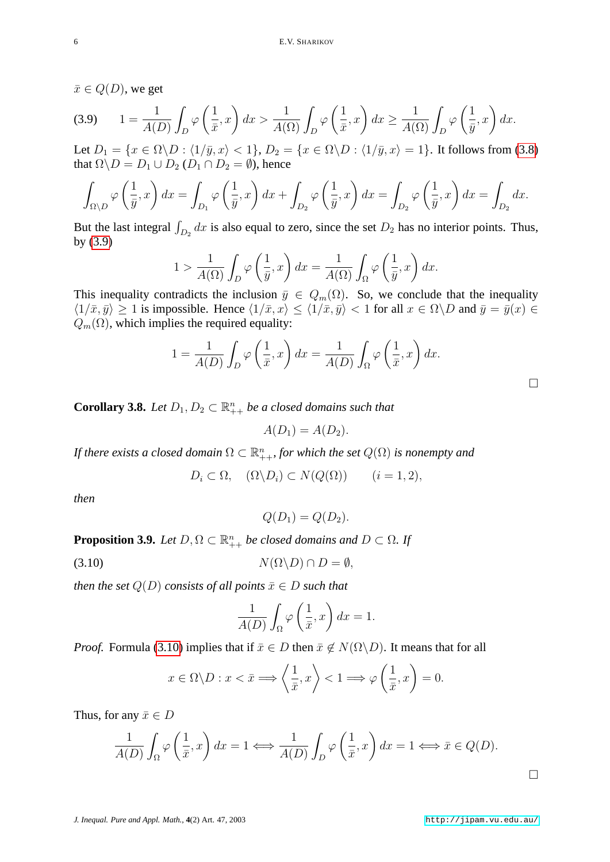<span id="page-5-0"></span> $\bar{x} \in Q(D)$ , we get

$$
(3.9) \qquad 1 = \frac{1}{A(D)} \int_D \varphi\left(\frac{1}{\bar{x}}, x\right) dx > \frac{1}{A(\Omega)} \int_D \varphi\left(\frac{1}{\bar{x}}, x\right) dx \ge \frac{1}{A(\Omega)} \int_D \varphi\left(\frac{1}{\bar{y}}, x\right) dx.
$$

Let  $D_1 = \{x \in \Omega \setminus D : \langle 1/\bar{y}, x \rangle < 1\}, D_2 = \{x \in \Omega \setminus D : \langle 1/\bar{y}, x \rangle = 1\}.$  It follows from [\(3.8\)](#page-4-3) that  $\Omega \backslash D = D_1 \cup D_2$  ( $D_1 \cap D_2 = \emptyset$ ), hence

$$
\int_{\Omega \setminus D} \varphi \left( \frac{1}{\bar{y}}, x \right) dx = \int_{D_1} \varphi \left( \frac{1}{\bar{y}}, x \right) dx + \int_{D_2} \varphi \left( \frac{1}{\bar{y}}, x \right) dx = \int_{D_2} \varphi \left( \frac{1}{\bar{y}}, x \right) dx = \int_{D_2} dx.
$$

But the last integral  $\int_{D_2} dx$  is also equal to zero, since the set  $D_2$  has no interior points. Thus, by [\(3.9\)](#page-5-0)

$$
1 > \frac{1}{A(\Omega)} \int_D \varphi \left(\frac{1}{\bar{y}}, x\right) dx = \frac{1}{A(\Omega)} \int_{\Omega} \varphi \left(\frac{1}{\bar{y}}, x\right) dx.
$$

This inequality contradicts the inclusion  $\bar{y} \in Q_m(\Omega)$ . So, we conclude that the inequality  $\langle 1/\bar{x}, \bar{y} \rangle \ge 1$  is impossible. Hence  $\langle 1/\bar{x}, x \rangle \le \langle 1/\bar{x}, \bar{y} \rangle < 1$  for all  $x \in \Omega \backslash D$  and  $\bar{y} = \bar{y}(x) \in$  $Q_m(\Omega)$ , which implies the required equality:

$$
1 = \frac{1}{A(D)} \int_D \varphi \left(\frac{1}{\bar{x}}, x\right) dx = \frac{1}{A(D)} \int_{\Omega} \varphi \left(\frac{1}{\bar{x}}, x\right) dx.
$$

**Corollary 3.8.** Let  $D_1, D_2 \subset \mathbb{R}_{++}^n$  be a closed domains such that

$$
A(D_1) = A(D_2).
$$

If there exists a closed domain  $\Omega \subset \mathbb{R}^n_{++}$ , for which the set  $Q(\Omega)$  is nonempty and

$$
D_i \subset \Omega, \quad (\Omega \backslash D_i) \subset N(Q(\Omega)) \qquad (i = 1, 2),
$$

*then*

<span id="page-5-1"></span>
$$
Q(D_1) = Q(D_2).
$$

<span id="page-5-2"></span>**Proposition 3.9.** *Let*  $D, \Omega \subset \mathbb{R}_{++}^n$  *be closed domains and*  $D \subset \Omega$ *. If* 

$$
(3.10) \t\t N(\Omega \backslash D) \cap D = \emptyset,
$$

*then the set*  $Q(D)$  *consists of all points*  $\bar{x} \in D$  *such that* 

$$
\frac{1}{A(D)} \int_{\Omega} \varphi\left(\frac{1}{\bar{x}}, x\right) dx = 1.
$$

*Proof.* Formula [\(3.10\)](#page-5-1) implies that if  $\bar{x} \in D$  then  $\bar{x} \notin N(\Omega \backslash D)$ . It means that for all

$$
x \in \Omega \backslash D : x < \bar{x} \Longrightarrow \left\langle \frac{1}{\bar{x}}, x \right\rangle < 1 \Longrightarrow \varphi \left( \frac{1}{\bar{x}}, x \right) = 0.
$$

Thus, for any  $\bar{x} \in D$ 

$$
\frac{1}{A(D)} \int_{\Omega} \varphi \left( \frac{1}{\bar{x}}, x \right) dx = 1 \Longleftrightarrow \frac{1}{A(D)} \int_{D} \varphi \left( \frac{1}{\bar{x}}, x \right) dx = 1 \Longleftrightarrow \bar{x} \in Q(D).
$$

 $\Box$ 

 $\Box$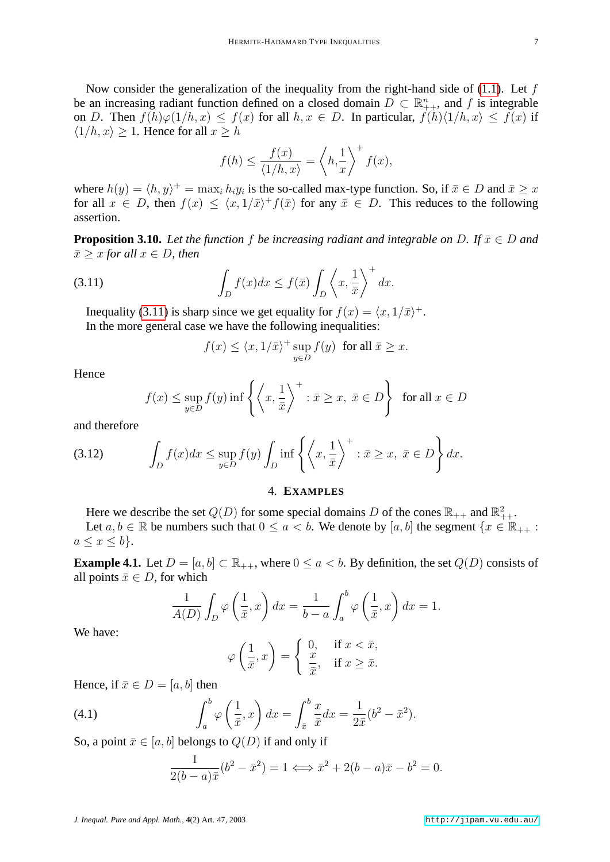Now consider the generalization of the inequality from the right-hand side of  $(1.1)$ . Let f be an increasing radiant function defined on a closed domain  $D \subset \mathbb{R}_{++}^n$ , and f is integrable on D. Then  $f(h)\varphi(1/h, x) \leq f(x)$  for all  $h, x \in D$ . In particular,  $f(h)\langle 1/h, x \rangle \leq f(x)$  if  $\langle 1/h, x \rangle \geq 1$ . Hence for all  $x \geq h$ 

$$
f(h) \le \frac{f(x)}{\langle 1/h, x \rangle} = \left\langle h, \frac{1}{x} \right\rangle^+ f(x),
$$

where  $h(y) = \langle h, y \rangle^+ = \max_i h_i y_i$  is the so-called max-type function. So, if  $\bar{x} \in D$  and  $\bar{x} \geq x$ for all  $x \in D$ , then  $f(x) \leq \langle x, 1/\bar{x}\rangle^+ f(\bar{x})$  for any  $\bar{x} \in D$ . This reduces to the following assertion.

<span id="page-6-3"></span>**Proposition 3.10.** *Let the function* f *be increasing radiant and integrable on* D. If  $\bar{x} \in D$  *and*  $\bar{x}$  > x for all  $x \in D$ , then

(3.11) 
$$
\int_{D} f(x)dx \le f(\bar{x}) \int_{D} \left\langle x, \frac{1}{\bar{x}} \right\rangle^{+} dx.
$$

Inequality [\(3.11\)](#page-6-1) is sharp since we get equality for  $f(x) = \langle x, 1/\bar{x}\rangle^+$ . In the more general case we have the following inequalities:

<span id="page-6-1"></span>
$$
f(x) \le \langle x, 1/\overline{x} \rangle^+ \sup_{y \in D} f(y)
$$
 for all  $\overline{x} \ge x$ .

Hence

<span id="page-6-4"></span>
$$
f(x) \le \sup_{y \in D} f(y) \inf \left\{ \left\langle x, \frac{1}{\bar{x}} \right\rangle^+ : \bar{x} \ge x, \ \bar{x} \in D \right\} \text{ for all } x \in D
$$

and therefore

$$
(3.12) \qquad \int_D f(x)dx \le \sup_{y \in D} f(y) \int_D \inf \left\{ \left\langle x, \frac{1}{\bar{x}} \right\rangle^+ : \bar{x} \ge x, \ \bar{x} \in D \right\} dx.
$$

#### 4. **EXAMPLES**

<span id="page-6-0"></span>Here we describe the set  $Q(D)$  for some special domains D of the cones  $\mathbb{R}_{++}$  and  $\mathbb{R}^2_{++}$ .

Let  $a, b \in \mathbb{R}$  be numbers such that  $0 \le a < b$ . We denote by  $[a, b]$  the segment  $\{x \in \mathbb{R}_{++} :$  $a \leq x \leq b$ .

**Example 4.1.** Let  $D = [a, b] \subset \mathbb{R}_{++}$ , where  $0 \le a < b$ . By definition, the set  $Q(D)$  consists of all points  $\bar{x} \in D$ , for which

$$
\frac{1}{A(D)} \int_D \varphi \left(\frac{1}{\bar{x}}, x\right) dx = \frac{1}{b-a} \int_a^b \varphi \left(\frac{1}{\bar{x}}, x\right) dx = 1.
$$

We have:

<span id="page-6-2"></span>
$$
\varphi\left(\frac{1}{\bar{x}},x\right) = \begin{cases} 0, & \text{if } x < \bar{x}, \\ \frac{x}{\bar{x}}, & \text{if } x \ge \bar{x}. \end{cases}
$$

Hence, if  $\bar{x} \in D = [a, b]$  then

(4.1) 
$$
\int_{a}^{b} \varphi\left(\frac{1}{\bar{x}}, x\right) dx = \int_{\bar{x}}^{b} \frac{x}{\bar{x}} dx = \frac{1}{2\bar{x}} (b^2 - \bar{x}^2).
$$

So, a point  $\bar{x} \in [a, b]$  belongs to  $Q(D)$  if and only if

$$
\frac{1}{2(b-a)\bar{x}}(b^2 - \bar{x}^2) = 1 \Longleftrightarrow \bar{x}^2 + 2(b-a)\bar{x} - b^2 = 0.
$$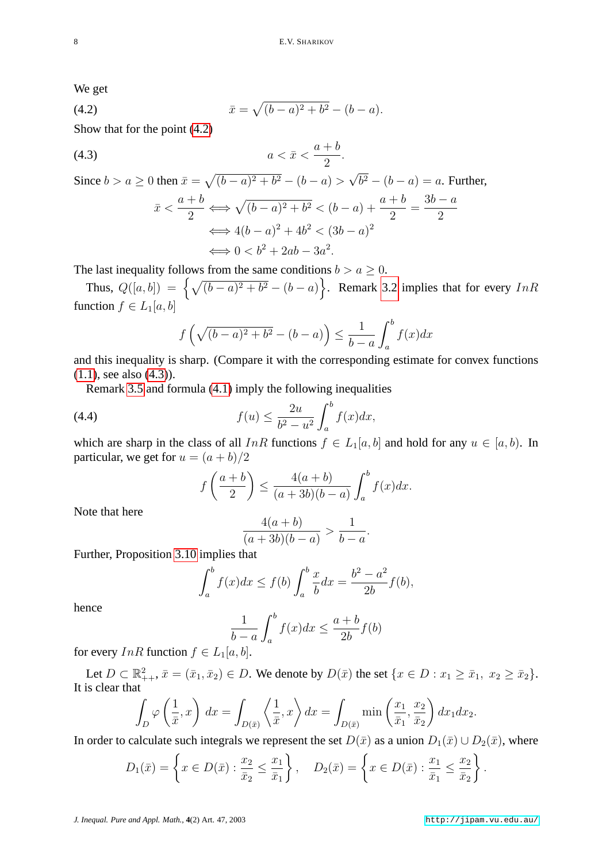<span id="page-7-0"></span>We get

(4.2) 
$$
\bar{x} = \sqrt{(b-a)^2 + b^2} - (b-a).
$$

Show that for the point [\(4.2\)](#page-7-0)

$$
(4.3) \t\t a < \bar{x} < \frac{a+b}{2}.
$$

Since  $b > a \ge 0$  then  $\bar{x} = \sqrt{(b-a)^2 + b^2} - (b-a) >$ √  $b^2 - (b - a) = a$ . Further,

<span id="page-7-1"></span>
$$
\bar{x} < \frac{a+b}{2} \Longleftrightarrow \sqrt{(b-a)^2 + b^2} < (b-a) + \frac{a+b}{2} = \frac{3b-a}{2}
$$
\n
$$
\Longleftrightarrow 4(b-a)^2 + 4b^2 < (3b-a)^2
$$
\n
$$
\Longleftrightarrow 0 < b^2 + 2ab - 3a^2.
$$

The last inequality follows from the same conditions  $b > a \geq 0$ .

Thus,  $Q([a, b]) = \left\{ \sqrt{(b-a)^2 + b^2} - (b-a) \right\}$ . Remark [3.2](#page-2-6) implies that for every InR function  $f \in L_1[a, b]$ 

$$
f\left(\sqrt{(b-a)^2 + b^2} - (b-a)\right) \le \frac{1}{b-a} \int_a^b f(x)dx
$$

and this inequality is sharp. (Compare it with the corresponding estimate for convex functions [\(1.1\)](#page-0-0), see also [\(4.3\)](#page-7-1)).

Remark [3.5](#page-3-4) and formula [\(4.1\)](#page-6-2) imply the following inequalities

(4.4) 
$$
f(u) \leq \frac{2u}{b^2 - u^2} \int_a^b f(x) dx,
$$

which are sharp in the class of all InR functions  $f \in L_1[a, b]$  and hold for any  $u \in [a, b)$ . In particular, we get for  $u = (a + b)/2$ 

$$
f\left(\frac{a+b}{2}\right) \le \frac{4(a+b)}{(a+3b)(b-a)} \int_a^b f(x)dx.
$$

Note that here

$$
\frac{4(a+b)}{(a+3b)(b-a)} > \frac{1}{b-a}.
$$

Further, Proposition [3.10](#page-6-3) implies that

$$
\int_{a}^{b} f(x)dx \le f(b) \int_{a}^{b} \frac{x}{b} dx = \frac{b^{2} - a^{2}}{2b} f(b),
$$

hence

$$
\frac{1}{b-a} \int_{a}^{b} f(x)dx \le \frac{a+b}{2b} f(b)
$$

for every  $InR$  function  $f \in L_1[a, b]$ .

Let  $D \subset \mathbb{R}^2_{++}$ ,  $\bar{x} = (\bar{x}_1, \bar{x}_2) \in D$ . We denote by  $D(\bar{x})$  the set  $\{x \in D : x_1 \ge \bar{x}_1, x_2 \ge \bar{x}_2\}$ . It is clear that

$$
\int_D \varphi\left(\frac{1}{\bar{x}},x\right) dx = \int_{D(\bar{x})} \left\langle \frac{1}{\bar{x}},x \right\rangle dx = \int_{D(\bar{x})} \min\left(\frac{x_1}{\bar{x}_1},\frac{x_2}{\bar{x}_2}\right) dx_1 dx_2.
$$

In order to calculate such integrals we represent the set  $D(\bar{x})$  as a union  $D_1(\bar{x}) \cup D_2(\bar{x})$ , where

$$
D_1(\bar{x}) = \left\{ x \in D(\bar{x}) : \frac{x_2}{\bar{x}_2} \le \frac{x_1}{\bar{x}_1} \right\}, \quad D_2(\bar{x}) = \left\{ x \in D(\bar{x}) : \frac{x_1}{\bar{x}_1} \le \frac{x_2}{\bar{x}_2} \right\}.
$$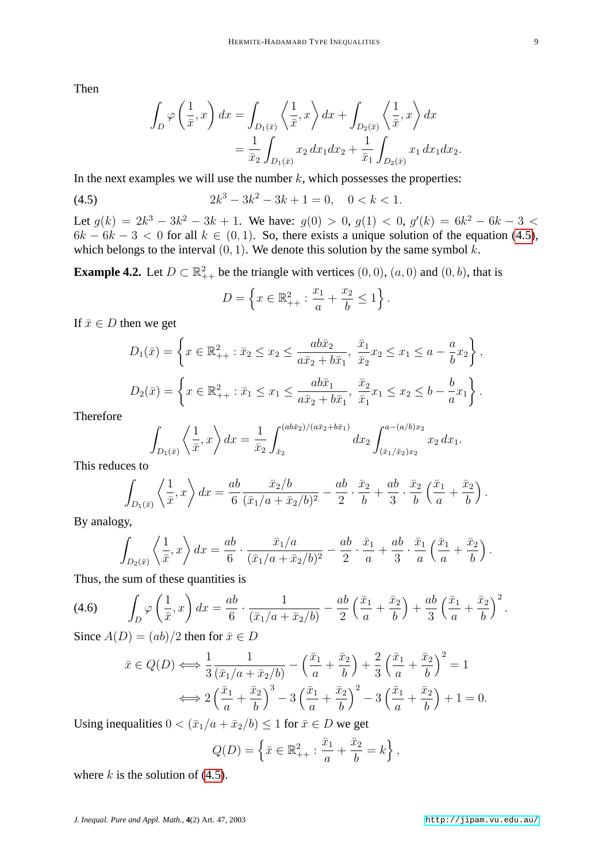Then

$$
\int_D \varphi\left(\frac{1}{\bar{x}},x\right)dx = \int_{D_1(\bar{x})} \left\langle \frac{1}{\bar{x}},x \right\rangle dx + \int_{D_2(\bar{x})} \left\langle \frac{1}{\bar{x}},x \right\rangle dx
$$

$$
= \frac{1}{\bar{x}_2} \int_{D_1(\bar{x})} x_2 dx_1 dx_2 + \frac{1}{\bar{x}_1} \int_{D_2(\bar{x})} x_1 dx_1 dx_2.
$$

In the next examples we will use the number  $k$ , which possesses the properties:

(4.5) 
$$
2k^3 - 3k^2 - 3k + 1 = 0, \quad 0 < k < 1.
$$

Let  $g(k) = 2k^3 - 3k^2 - 3k + 1$ . We have:  $g(0) > 0$ ,  $g(1) < 0$ ,  $g'(k) = 6k^2 - 6k - 3$  $6k - 6k - 3 < 0$  for all  $k \in (0, 1)$ . So, there exists a unique solution of the equation [\(4.5\)](#page-8-0), which belongs to the interval  $(0, 1)$ . We denote this solution by the same symbol k.

<span id="page-8-2"></span>**Example 4.2.** Let  $D \subset \mathbb{R}^2_{++}$  be the triangle with vertices  $(0,0)$ ,  $(a,0)$  and  $(0,b)$ , that is

<span id="page-8-0"></span>
$$
D = \left\{ x \in \mathbb{R}_{++}^2 : \frac{x_1}{a} + \frac{x_2}{b} \le 1 \right\}.
$$

If  $\bar{x} \in D$  then we get

$$
D_1(\bar{x}) = \left\{ x \in \mathbb{R}_{++}^2 : \bar{x}_2 \le x_2 \le \frac{ab\bar{x}_2}{a\bar{x}_2 + b\bar{x}_1}, \frac{\bar{x}_1}{\bar{x}_2} x_2 \le x_1 \le a - \frac{a}{b} x_2 \right\},
$$
  

$$
D_2(\bar{x}) = \left\{ x \in \mathbb{R}_{++}^2 : \bar{x}_1 \le x_1 \le \frac{ab\bar{x}_1}{a\bar{x}_2 + b\bar{x}_1}, \frac{\bar{x}_2}{\bar{x}_1} x_1 \le x_2 \le b - \frac{b}{a} x_1 \right\}.
$$

Therefore

$$
\int_{D_1(\bar{x})} \left\langle \frac{1}{\bar{x}}, x \right\rangle dx = \frac{1}{\bar{x}_2} \int_{\bar{x}_2}^{(ab\bar{x}_2)/(a\bar{x}_2 + b\bar{x}_1)} dx_2 \int_{(\bar{x}_1/\bar{x}_2)x_2}^{a - (a/b)x_2} x_2 dx_1.
$$

This reduces to

$$
\int_{D_1(\bar{x})} \left\langle \frac{1}{\bar{x}}, x \right\rangle dx = \frac{ab}{6} \frac{\bar{x}_2/b}{(\bar{x}_1/a + \bar{x}_2/b)^2} - \frac{ab}{2} \cdot \frac{\bar{x}_2}{b} + \frac{ab}{3} \cdot \frac{\bar{x}_2}{b} \left( \frac{\bar{x}_1}{a} + \frac{\bar{x}_2}{b} \right).
$$

By analogy,

<span id="page-8-1"></span>
$$
\int_{D_2(\bar{x})} \left\langle \frac{1}{\bar{x}}, x \right\rangle dx = \frac{ab}{6} \cdot \frac{\bar{x}_1/a}{(\bar{x}_1/a + \bar{x}_2/b)^2} - \frac{ab}{2} \cdot \frac{\bar{x}_1}{a} + \frac{ab}{3} \cdot \frac{\bar{x}_1}{a} \left( \frac{\bar{x}_1}{a} + \frac{\bar{x}_2}{b} \right).
$$

Thus, the sum of these quantities is

$$
(4.6)\qquad \int_D \varphi\left(\frac{1}{\bar{x}}, x\right) dx = \frac{ab}{6} \cdot \frac{1}{(\bar{x}_1/a + \bar{x}_2/b)} - \frac{ab}{2} \left(\frac{\bar{x}_1}{a} + \frac{\bar{x}_2}{b}\right) + \frac{ab}{3} \left(\frac{\bar{x}_1}{a} + \frac{\bar{x}_2}{b}\right)^2.
$$

Since  $A(D) = (ab)/2$  then for  $\bar{x} \in D$ 

$$
\bar{x} \in Q(D) \Longleftrightarrow \frac{1}{3} \frac{1}{(\bar{x}_1/a + \bar{x}_2/b)} - \left(\frac{\bar{x}_1}{a} + \frac{\bar{x}_2}{b}\right) + \frac{2}{3} \left(\frac{\bar{x}_1}{a} + \frac{\bar{x}_2}{b}\right)^2 = 1
$$

$$
\Longleftrightarrow 2\left(\frac{\bar{x}_1}{a} + \frac{\bar{x}_2}{b}\right)^3 - 3\left(\frac{\bar{x}_1}{a} + \frac{\bar{x}_2}{b}\right)^2 - 3\left(\frac{\bar{x}_1}{a} + \frac{\bar{x}_2}{b}\right) + 1 = 0.
$$

Using inequalities  $0 < (\bar{x}_1/a + \bar{x}_2/b) \le 1$  for  $\bar{x} \in D$  we get

$$
Q(D) = \left\{ \bar{x} \in \mathbb{R}^2_{++} : \frac{\bar{x}_1}{a} + \frac{\bar{x}_2}{b} = k \right\},\,
$$

where  $k$  is the solution of [\(4.5\)](#page-8-0).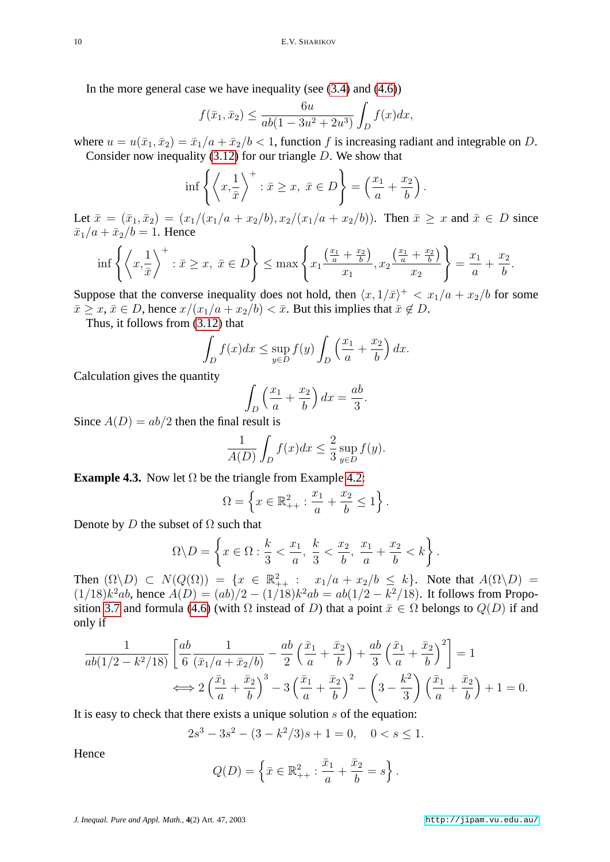In the more general case we have inequality (see [\(3.4\)](#page-3-2) and [\(4.6\)](#page-8-1))

$$
f(\bar{x}_1, \bar{x}_2) \le \frac{6u}{ab(1 - 3u^2 + 2u^3)} \int_D f(x)dx,
$$

where  $u = u(\bar{x}_1, \bar{x}_2) = \bar{x}_1/a + \bar{x}_2/b < 1$ , function f is increasing radiant and integrable on D. Consider now inequality  $(3.12)$  for our triangle D. We show that

$$
\inf \left\{ \left\langle x, \frac{1}{\bar{x}} \right\rangle^+ : \bar{x} \ge x, \ \bar{x} \in D \right\} = \left( \frac{x_1}{a} + \frac{x_2}{b} \right)
$$

.

Let  $\bar{x} = (\bar{x}_1, \bar{x}_2) = (x_1/(x_1/a + x_2/b), x_2/(x_1/a + x_2/b))$ . Then  $\bar{x} \ge x$  and  $\bar{x} \in D$  since  $\bar{x}_1/a + \bar{x}_2/b = 1$ . Hence

$$
\inf \left\{ \left\langle x, \frac{1}{\bar{x}} \right\rangle^+ : \bar{x} \ge x, \ \bar{x} \in D \right\} \le \max \left\{ x_1 \frac{\left(\frac{x_1}{a} + \frac{x_2}{b}\right)}{x_1}, x_2 \frac{\left(\frac{x_1}{a} + \frac{x_2}{b}\right)}{x_2} \right\} = \frac{x_1}{a} + \frac{x_2}{b}.
$$

Suppose that the converse inequality does not hold, then  $\langle x, 1/\bar{x}\rangle^+ < x_1/a + x_2/b$  for some  $\bar{x} \geq x, \bar{x} \in D$ , hence  $x/(x_1/a + x_2/b) < \bar{x}$ . But this implies that  $\bar{x} \notin D$ .

Thus, it follows from [\(3.12\)](#page-6-4) that

$$
\int_D f(x)dx \le \sup_{y \in D} f(y) \int_D \left(\frac{x_1}{a} + \frac{x_2}{b}\right) dx.
$$

Calculation gives the quantity

$$
\int_D \left(\frac{x_1}{a} + \frac{x_2}{b}\right) dx = \frac{ab}{3}.
$$

Since  $A(D) = ab/2$  then the final result is

$$
\frac{1}{A(D)} \int_{D} f(x) dx \le \frac{2}{3} \sup_{y \in D} f(y).
$$

**Example 4.3.** Now let  $\Omega$  be the triangle from Example [4.2:](#page-8-2)

$$
\Omega = \left\{ x \in \mathbb{R}_{++}^2 : \frac{x_1}{a} + \frac{x_2}{b} \le 1 \right\}.
$$

Denote by D the subset of  $\Omega$  such that

$$
\Omega \backslash D = \left\{ x \in \Omega : \frac{k}{3} < \frac{x_1}{a}, \frac{k}{3} < \frac{x_2}{b}, \frac{x_1}{a} + \frac{x_2}{b} < k \right\}.
$$

Then  $(\Omega \backslash D) \subset N(Q(\Omega)) = \{x \in \mathbb{R}^2_{++} : x_1/a + x_2/b \le k\}$ . Note that  $A(\Omega \backslash D) =$  $(1/18)k^2ab$ , hence  $A(D) = (ab)/2 - (1/18)k^2ab = ab(1/2 - k^2/18)$ . It follows from Propo-sition [3.7](#page-4-4) and formula [\(4.6\)](#page-8-1) (with  $\Omega$  instead of D) that a point  $\bar{x} \in \Omega$  belongs to  $Q(D)$  if and only if

$$
\frac{1}{ab(1/2 - k^2/18)} \left[ \frac{ab}{6} \frac{1}{(\bar{x}_1/a + \bar{x}_2/b)} - \frac{ab}{2} \left( \frac{\bar{x}_1}{a} + \frac{\bar{x}_2}{b} \right) + \frac{ab}{3} \left( \frac{\bar{x}_1}{a} + \frac{\bar{x}_2}{b} \right)^2 \right] = 1
$$
  

$$
\iff 2 \left( \frac{\bar{x}_1}{a} + \frac{\bar{x}_2}{b} \right)^3 - 3 \left( \frac{\bar{x}_1}{a} + \frac{\bar{x}_2}{b} \right)^2 - \left( 3 - \frac{k^2}{3} \right) \left( \frac{\bar{x}_1}{a} + \frac{\bar{x}_2}{b} \right) + 1 = 0.
$$

It is easy to check that there exists a unique solution  $s$  of the equation:

$$
2s3 - 3s2 - (3 - k2/3)s + 1 = 0, \quad 0 < s \le 1.
$$

Hence

$$
Q(D) = \left\{ \bar{x} \in \mathbb{R}^2_{++} : \frac{\bar{x}_1}{a} + \frac{\bar{x}_2}{b} = s \right\}.
$$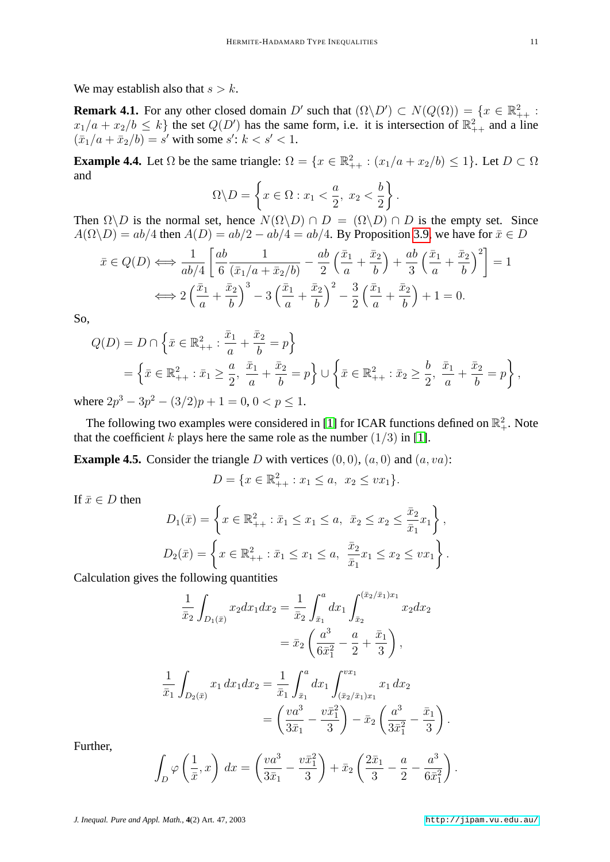We may establish also that  $s > k$ .

**Remark 4.1.** For any other closed domain D' such that  $(\Omega \backslash D') \subset N(Q(\Omega)) = \{x \in \mathbb{R}^2_{++} :$  $x_1/a + x_2/b \le k$  the set  $Q(D')$  has the same form, i.e. it is intersection of  $\mathbb{R}^2_{++}$  and a line  $(\bar{x}_1/a + \bar{x}_2/b) = s'$  with some  $s' : k < s' < 1$ .

**Example 4.4.** Let  $\Omega$  be the same triangle:  $\Omega = \{x \in \mathbb{R}^2_{++} : (x_1/a + x_2/b) \le 1\}$ . Let  $D \subset \Omega$ and

$$
\Omega \backslash D = \left\{ x \in \Omega : x_1 < \frac{a}{2}, \ x_2 < \frac{b}{2} \right\}.
$$

Then  $\Omega \backslash D$  is the normal set, hence  $N(\Omega \backslash D) \cap D = (\Omega \backslash D) \cap D$  is the empty set. Since  $A(\Omega \backslash D) = ab/4$  then  $A(D) = ab/2 - ab/4 = ab/4$ . By Proposition [3.9,](#page-5-2) we have for  $\bar{x} \in D$ 

$$
\bar{x} \in Q(D) \Longleftrightarrow \frac{1}{ab/4} \left[ \frac{ab}{6} \frac{1}{(\bar{x}_1/a + \bar{x}_2/b)} - \frac{ab}{2} \left( \frac{\bar{x}_1}{a} + \frac{\bar{x}_2}{b} \right) + \frac{ab}{3} \left( \frac{\bar{x}_1}{a} + \frac{\bar{x}_2}{b} \right)^2 \right] = 1
$$

$$
\Longleftrightarrow 2 \left( \frac{\bar{x}_1}{a} + \frac{\bar{x}_2}{b} \right)^3 - 3 \left( \frac{\bar{x}_1}{a} + \frac{\bar{x}_2}{b} \right)^2 - \frac{3}{2} \left( \frac{\bar{x}_1}{a} + \frac{\bar{x}_2}{b} \right) + 1 = 0.
$$

So,

$$
Q(D) = D \cap \left\{ \bar{x} \in \mathbb{R}_{++}^2 : \frac{\bar{x}_1}{a} + \frac{\bar{x}_2}{b} = p \right\}
$$
  
= 
$$
\left\{ \bar{x} \in \mathbb{R}_{++}^2 : \bar{x}_1 \ge \frac{a}{2}, \frac{\bar{x}_1}{a} + \frac{\bar{x}_2}{b} = p \right\} \cup \left\{ \bar{x} \in \mathbb{R}_{++}^2 : \bar{x}_2 \ge \frac{b}{2}, \frac{\bar{x}_1}{a} + \frac{\bar{x}_2}{b} = p \right\},
$$

where  $2p^3 - 3p^2 - (3/2)p + 1 = 0, 0 < p \le 1$ .

The following two examples were considered in [\[1\]](#page-12-1) for ICAR functions defined on  $\mathbb{R}^2_+$ . Note that the coefficient k plays here the same role as the number  $(1/3)$  in [\[1\]](#page-12-1).

**Example 4.5.** Consider the triangle  $D$  with vertices  $(0, 0)$ ,  $(a, 0)$  and  $(a, va)$ :

$$
D = \{ x \in \mathbb{R}^2_{++} : x_1 \le a, \ x_2 \le vx_1 \}.
$$

If  $\bar{x} \in D$  then

$$
D_1(\bar{x}) = \left\{ x \in \mathbb{R}_{++}^2 : \bar{x}_1 \le x_1 \le a, \ \ \bar{x}_2 \le x_2 \le \frac{\bar{x}_2}{\bar{x}_1} x_1 \right\},
$$
  

$$
D_2(\bar{x}) = \left\{ x \in \mathbb{R}_{++}^2 : \bar{x}_1 \le x_1 \le a, \ \ \frac{\bar{x}_2}{\bar{x}_1} x_1 \le x_2 \le vx_1 \right\}.
$$

Calculation gives the following quantities

$$
\frac{1}{\bar{x}_2} \int_{D_1(\bar{x})} x_2 dx_1 dx_2 = \frac{1}{\bar{x}_2} \int_{\bar{x}_1}^a dx_1 \int_{\bar{x}_2}^{(\bar{x}_2/\bar{x}_1)x_1} x_2 dx_2
$$

$$
= \bar{x}_2 \left( \frac{a^3}{6\bar{x}_1^2} - \frac{a}{2} + \frac{\bar{x}_1}{3} \right),
$$

$$
\frac{1}{\bar{x}_1} \int_{D_2(\bar{x})} x_1 dx_1 dx_2 = \frac{1}{\bar{x}_1} \int_{\bar{x}_1}^a dx_1 \int_{(\bar{x}_2/\bar{x}_1)x_1}^{vx_1} x_1 dx_2
$$

$$
= \left( \frac{v a^3}{3\bar{x}_1} - \frac{v \bar{x}_1^2}{3} \right) - \bar{x}_2 \left( \frac{a^3}{3\bar{x}_1^2} - \frac{\bar{x}_1}{3} \right)
$$

Further,

$$
\int_D \varphi\left(\frac{1}{\bar{x}},x\right) dx = \left(\frac{va^3}{3\bar{x}_1} - \frac{v\bar{x}_1^2}{3}\right) + \bar{x}_2\left(\frac{2\bar{x}_1}{3} - \frac{a}{2} - \frac{a^3}{6\bar{x}_1^2}\right).
$$

.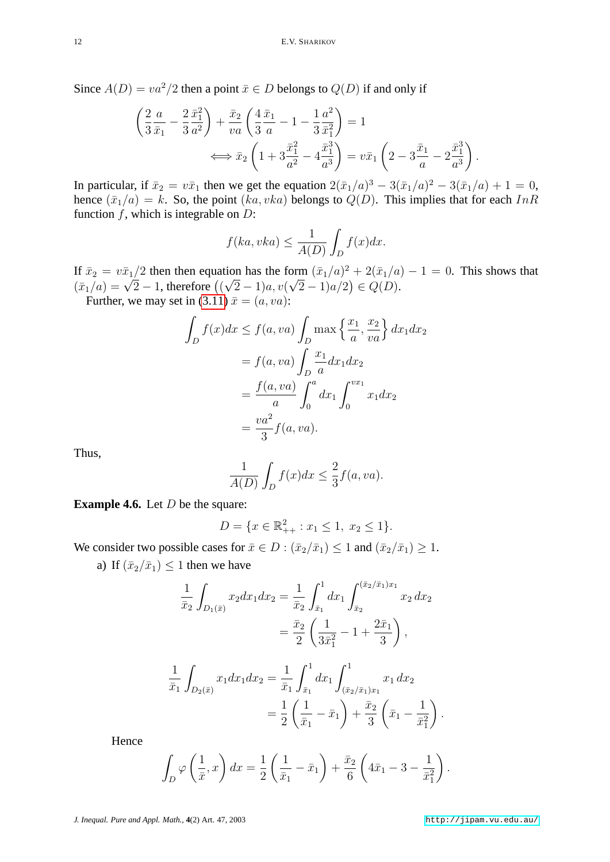Since  $A(D) = va^2/2$  then a point  $\bar{x} \in D$  belongs to  $Q(D)$  if and only if

$$
\left(\frac{2}{3}\frac{a}{\bar{x}_1} - \frac{2}{3}\frac{\bar{x}_1^2}{a^2}\right) + \frac{\bar{x}_2}{va} \left(\frac{4}{3}\frac{\bar{x}_1}{a} - 1 - \frac{1}{3}\frac{a^2}{\bar{x}_1^2}\right) = 1
$$
\n
$$
\iff \bar{x}_2 \left(1 + 3\frac{\bar{x}_1^2}{a^2} - 4\frac{\bar{x}_1^3}{a^3}\right) = v\bar{x}_1 \left(2 - 3\frac{\bar{x}_1}{a} - 2\frac{\bar{x}_1^3}{a^3}\right).
$$

In particular, if  $\bar{x}_2 = v\bar{x}_1$  then we get the equation  $2(\bar{x}_1/a)^3 - 3(\bar{x}_1/a)^2 - 3(\bar{x}_1/a) + 1 = 0$ , hence  $(\bar{x}_1/a) = k$ . So, the point  $(ka, vka)$  belongs to  $Q(D)$ . This implies that for each  $InR$ function  $f$ , which is integrable on  $D$ :

$$
f(ka, vka) \le \frac{1}{A(D)} \int_D f(x)dx.
$$

If  $\bar{x}_2 = v \bar{x}_1/2$  then then equation has the form  $(\bar{x}_1/a)^2 + 2(\bar{x}_1/a) - 1 = 0$ . This shows that  $x_2 = vx_1/2$  then then equation has the form  $(x_1/a)^2 + 2(x_1/a)^2$ <br>  $(\bar{x}_1/a) = \sqrt{2} - 1$ , therefore  $((\sqrt{2} - 1)a, v(\sqrt{2} - 1)a/2) \in Q(D)$ .

Further, we may set in [\(3.11\)](#page-6-1)  $\bar{x} = (a, va)$ :

$$
\int_{D} f(x)dx \le f(a, va) \int_{D} \max\left\{\frac{x_1}{a}, \frac{x_2}{va}\right\} dx_1 dx_2
$$

$$
= f(a, va) \int_{D} \frac{x_1}{a} dx_1 dx_2
$$

$$
= \frac{f(a, va)}{a} \int_{0}^{a} dx_1 \int_{0}^{vx_1} x_1 dx_2
$$

$$
= \frac{va^2}{3} f(a, va).
$$

Thus,

$$
\frac{1}{A(D)} \int_D f(x) dx \le \frac{2}{3} f(a, va).
$$

**Example 4.6.** Let *D* be the square:

$$
D = \{ x \in \mathbb{R}^2_{++} : x_1 \le 1, \ x_2 \le 1 \}.
$$

We consider two possible cases for  $\bar{x} \in D : (\bar{x}_2/\bar{x}_1) \leq 1$  and  $(\bar{x}_2/\bar{x}_1) \geq 1$ .

a) If  $(\bar{x}_2/\bar{x}_1)$  < 1 then we have

$$
\frac{1}{\bar{x}_2} \int_{D_1(\bar{x})} x_2 dx_1 dx_2 = \frac{1}{\bar{x}_2} \int_{\bar{x}_1}^1 dx_1 \int_{\bar{x}_2}^{(\bar{x}_2/\bar{x}_1)x_1} x_2 dx_2
$$

$$
= \frac{\bar{x}_2}{2} \left( \frac{1}{3\bar{x}_1^2} - 1 + \frac{2\bar{x}_1}{3} \right),
$$

$$
\frac{1}{\bar{x}_1} \int_{D_2(\bar{x})} x_1 dx_1 dx_2 = \frac{1}{\bar{x}_1} \int_{\bar{x}_1}^1 dx_1 \int_{(\bar{x}_2/\bar{x}_1)x_1}^1 x_1 dx_2
$$

$$
= \frac{1}{2} \left( \frac{1}{\bar{x}_1} - \bar{x}_1 \right) + \frac{\bar{x}_2}{3} \left( \bar{x}_1 - \frac{1}{\bar{x}_1^2} \right).
$$

Hence

$$
\int_D \varphi\left(\frac{1}{\bar{x}},x\right)dx = \frac{1}{2}\left(\frac{1}{\bar{x}_1} - \bar{x}_1\right) + \frac{\bar{x}_2}{6}\left(4\bar{x}_1 - 3 - \frac{1}{\bar{x}_1^2}\right).
$$